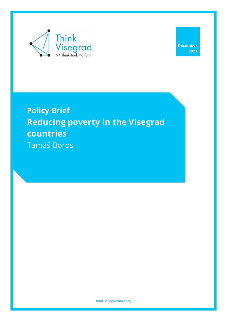

# **Policy Brief Reducing poverty in the Visegrad countries** Tamáš Boros

[think.visegradfund.org](https://europeum.org/)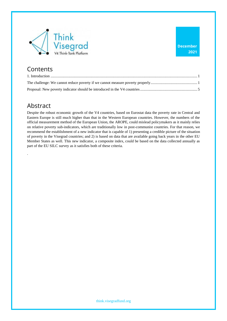

#### **Contents**

### Abstract

.

Despite the robust economic growth of the V4 countries, based on Eurostat data the poverty rate in Central and Eastern Europe is still much higher than that in the Western European countries. However, the numbers of the official measurement method of the European Union, the AROPE, could mislead policymakers as it mainly relies on relative poverty sub-indicators, which are traditionally low in post-communist countries. For that reason, we recommend the establishment of a new indicator that is capable of 1) presenting a credible picture of the situation of poverty in the Visegrad countries; and 2) is based on data that are available going back years in the other EU Member States as well. This new indicator, a composite index, could be based on the data collected annually as part of the EU SILC survey as it satisfies both of these criteria.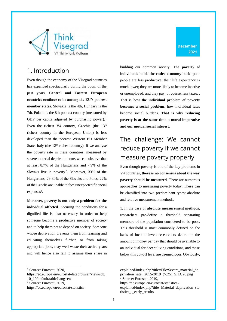

#### <span id="page-2-0"></span>1. Introduction

Even though the economy of the Visegrad countries has expanded spectacularly during the boom of the past years, **Central and Eastern European countries continue to be among the EU's poorest member states**. Slovakia is the 4th, Hungary is the 7th, Poland is the 8th poorest country (measured by GDP per capita adjusted by purchasing power).<sup>1</sup> Even the richest V4 country, Czechia (the 13<sup>th</sup> richest country in the European Union) is less developed than the poorest Western EU Member State, Italy (the  $12<sup>th</sup>$  richest country). If we analyse the poverty rate in these countries, measured by severe material deprivation rate, we can observe that at least 8.7% of the Hungarians and 7.9% of the Slovaks live in poverty<sup>2</sup>. Moreover, 33% of the Hungarians, 29-30% of the Slovaks and Poles, 22% of the Czechs are unable to face unexpected financial expenses<sup>3</sup>.

Moreover, **poverty is not only a problem for the individual affected**. Securing the conditions for a dignified life is also necessary in order to help someone become a productive member of society and to help them not to depend on society. Someone whose deprivation prevents them from learning and educating themselves further, or from taking appropriate jobs, may well waste their active years and will hence also fail to assume their share in

building our common society. **The poverty of individuals holds the entire economy back**: poor people are less productive; their life expectancy is much lower; they are more likely to become inactive or unemployed; and they pay, of course, less taxes. . That is how **the individual problem of poverty becomes a social problem**, how individual fates become social burdens. **That is why reducing poverty is at the same time a moral imperative and our mutual social interest.** 

### <span id="page-2-1"></span>The challenge: We cannot reduce poverty if we cannot measure poverty properly

Even though poverty is one of the key problems in V4 countries, **there is no consensus about the way poverty should be measured**. There are numerous approaches to measuring poverty today. These can be classified into two predominant types: absolute and relative measurement methods.

1. In the case of **absolute measurement methods**, researchers pre-define a threshold separating members of the population considered to be poor. This threshold is most commonly defined on the basis of income level: researchers determine the amount of money per day that should be available to an individual for decent living conditions, and those below this cut-off level are deemed poor. Obviously,

explained/index.php?title=File:Severe\_material\_de privation\_rate,\_2015-2019\_(%25)\_SILC20.png <sup>3</sup> Source: Eurostat, 2019, https://ec.europa.eu/eurostat/statisticsexplained/index.php?title=Material\_deprivation\_sta tistics\_-\_early\_results

<sup>&</sup>lt;sup>1</sup> Source: Eurostat, 2020,

https://ec.europa.eu/eurostat/databrowser/view/sdg\_ 10\_10/default/table?lang=en

<sup>2</sup> Source: Eurostat, 2019,

https://ec.europa.eu/eurostat/statistics-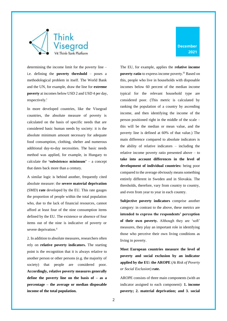

determining the income limit for the poverty line – i.e. defining the **poverty threshold** – poses a methodological problem in itself. The World Bank and the UN, for example, draw the line for **extreme poverty** at incomes below USD 2 and USD 4 per day, respectively.<sup>i</sup>

In more developed countries, like the Visegrad countries, the absolute measure of poverty is calculated on the basis of specific needs that are considered basic human needs by society: it is the absolute minimum amount necessary for adequate food consumption, clothing, shelter and numerous additional day-to-day necessities. The basic needs method was applied, for example, in Hungary to calculate the **'subsistence minimum'** – a concept that dates back more than a century.

A similar logic is behind another, frequently cited absolute measure: the **severe material deprivation** (SMD) **rate** developed by the EU. This rate gauges the proportion of people within the total population who, due to the lack of financial resources, cannot afford at least four of the nine consumption items defined by the EU. The existence or absence of four items out of the nine is indicative of poverty or severe deprivation.<sup>ii</sup>

2. In addition to absolute measures, researchers often rely on **relative poverty indicators.** The starting point is the recognition that it is always relative to another person or other persons (e.g. the majority of society) that people are considered poor. **Accordingly, relative poverty measures generally define the poverty line on the basis of – as a percentage – the average or median disposable income of the total population.**

The EU, for example, applies the **relative income poverty ratio** to express income poverty.<sup>iii</sup> Based on this, people who live in households with disposable incomes below 60 percent of the median income typical for the relevant household type are considered poor. (This metric is calculated by ranking the population of a country by ascending income, and then identifying the income of the person positioned right in the middle of the scale – this will be the median or mean value, and the poverty line is defined at 60% of that value.) The main difference compared to absolute indicators is the ability of relative indicators – including the relative income poverty ratio presented above – to **take into account differences in the level of development of individual countries:** being poor compared to the average obviously means something entirely different in Sweden and in Slovakia. The thresholds, therefore, vary from country to country, and even from year to year in each country.

**Subjective poverty indicators** comprise another category: in contrast to the above, these metrics are **intended to express the respondents' perception of their own poverty.** Although they are 'soft' measures, they play an important role in identifying those who perceive their own living conditions as living in poverty.

**Most European countries measure the level of poverty and social exclusion by an indicator applied by the EU: the AROPE** (*At Risk of Poverty or Social Exclusion*) **rate.**

AROPE consists of three main components (with an indicator assigned to each component): **1. income poverty; 2. material deprivation; and 3. social**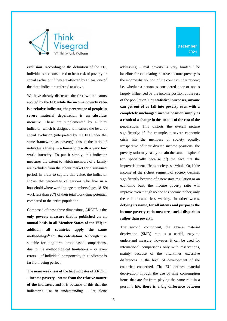

**exclusion.** According to the definition of the EU, individuals are considered to be at risk of poverty or social exclusion if they are affected by at least one of the three indicators referred to above.

We have already discussed the first two indicators applied by the EU: **while the income poverty ratio is a relative indicator, the percentage of people in severe material deprivation is an absolute measure.** These are supplemented by a third indicator, which is designed to measure the level of social exclusion (interpreted by the EU under the same framework as poverty): this is the ratio of individuals **living in a household with a very low work intensity.** To put it simply, this indicator measures the extent to which members of a family are excluded from the labour market for a sustained period. In order to capture this value, the indicator shows the percentage of persons who live in a household where working-age members (ages 18–59) work less than 20% of their total work-time potential compared to the entire population.

Composed of these three dimensions, AROPE is the **only poverty measure that is published on an annual basis in all Member States of the EU; in addition, all countries apply the same methodologyiv for the calculation.** Although it is suitable for long-term, broad-based comparisons, due to the methodological limitations – or even errors – of individual components, this indicator is far from being perfect.

The **main weakness of** the first indicator of AROPE – **income poverty** – **stems from the relative nature of the indicator**, and it is because of this that the indicator's use in understanding – let alone

addressing – real poverty is very limited. The baseline for calculating relative income poverty is the income distribution of the country under review; i.e. whether a person is considered poor or not is largely influenced by the income position of the rest of the population. **For statistical purposes, anyone can get out of or fall into poverty even with a completely unchanged income position simply as a result of a change in the income of the rest of the population.** This distorts the overall picture significantly: if, for example, a severe economic crisis hits the members of society equally, irrespective of their diverse income positions, the poverty ratio may easily remain the same in spite of (or, specifically because of) the fact that the impoverishment affects society as a whole. Or, if the income of the richest segment of society declines significantly because of a new state regulation or an economic bust, the income poverty ratio will improve even though no one has become richer; only the rich became less wealthy. In other words, **defying its name, for all intents and purposes the income poverty ratio measures social disparities rather than poverty.** 

The second component, the severe material deprivation (SMD) rate is a useful, easy-tounderstand measure; however, it can be used for international comparisons only with reservations, mainly because of the oftentimes excessive differences in the level of development of the countries concerned. The EU defines material deprivation through the use of nine consumption items that are far from playing the same role in a person's life: **there is a big difference between**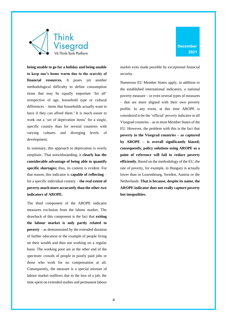



**being unable to go for a holiday and being unable to keep one's home warm due to the scarcity of financial resources.** It poses yet another methodological difficulty to define consumption items that may be equally important 'for all' irrespective of age, household type or cultural differences – items that households actually want to have if they can afford them.<sup>v</sup> It is much easier to work out a 'set of deprivation items' for a single, specific country than for several countries with varying cultures and diverging levels of development.

In summary, this approach to deprivation is overly simplistic. That notwithstanding, it **clearly has the considerable advantage of being able to quantify specific shortages;** thus, its content is evident. For that reason, this indicator is **capable of reflecting** – for a specific individual country – **the real extent of poverty much more accurately than the other two indicators of AROPE.**

The third component of the AROPE indicator measures exclusion from the labour market. The drawback of this component is the fact that **exiting the labour market is only partly related to poverty** – as demonstrated by the extended duration of further education or the example of people living on their wealth and thus not working on a regular basis. The working poor are at the other end of the spectrum: crowds of people in poorly paid jobs or those who work for no compensation at all. Consequently, the measure is a special mixture of labour market outflows due to the loss of a job, the time spent on extended studies and permanent labour market exits made possible by exceptional financial security.

Numerous EU Member States apply, in addition to the established international indicators, a national poverty measure – or even several types of measures – that are more aligned with their own poverty profile. In any event, at this time AROPE is considered to be the 'official' poverty indicator in all Visegrad countries – as in most Member States of the EU. However, the problem with this is the fact that **poverty in the Visegrad countries – as captured by AROPE – is overall significantly biased; consequently, policy solutions using AROPE as a point of reference will fail to reduce poverty efficiently.** Based on the methodology of the EU, the rate of poverty, for example, in Hungary is actually lower than in Luxembourg, Sweden, Austria or the Netherlands. **That is because, despite its name, the AROPE indicator does not really capture poverty but inequalities.**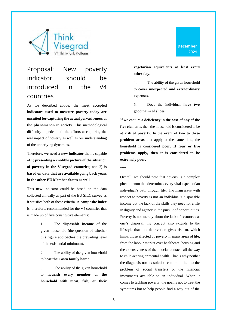

### <span id="page-6-0"></span>Proposal: New poverty indicator should be introduced in the V4 countries

As we described above, **the most accepted indicators used to measure poverty today are unsuited for capturing the actual pervasiveness of the phenomenon in society.** This methodological difficulty impedes both the efforts at capturing the real impact of poverty as well as our understanding of the underlying dynamics.

Therefore, **we need a new indicator** that is capable of 1) **presenting a credible picture of the situation of poverty in the Visegrad countries**; and 2) is **based on data that are available going back years in the other EU Member States as well**.

This new indicator could be based on the data collected annually as part of the EU SILC survey as it satisfies both of these criteria. A **composite index** is, therefore, recommended for the V4 countries that is made up of five constitutive elements:

> 1. The **disposable income** of the given household (the question of whether this figure approaches the prevailing level of the existential minimum).

> 2. The ability of the given household to **heat their own family home**.

> 3. The ability of the given household to **nourish every member of the household with meat, fish, or their**

**December 2021**

**vegetarian equivalents** at least **every other day**.

4. The ability of the given household to **cover unexpected and extraordinary expenses**.

5. Does the individual **have two good pairs of shoes**.

If we capture a **deficiency in the case of any of the five elements**, then the household is considered to be at **risk of poverty**. In the event of **two to three problem areas** that apply at the same time, the household is considered **poor**. **If four or five problems apply, then it is considered to be extremely poor.** 

#### \*\*\*

Overall, we should note that poverty is a complex phenomenon that determines every vital aspect of an individual's path through life. The main issue with respect to poverty is not an individual's disposable income but the lack of the skills they need for a life in dignity and agency in the pursuit of opportunities. Poverty is not merely about the lack of resources at one's disposal, the concept also extends to the lifestyle that this deprivation gives rise to, which limits those affected by poverty in many areas of life, from the labour market over healthcare, housing and the extensiveness of their social contacts all the way to child-rearing or mental health. That is why neither the diagnosis nor its solution can be limited to the problem of social transfers or the financial instruments available to an individual. When it comes to tackling poverty, the goal is not to treat the symptoms but to help people find a way out of the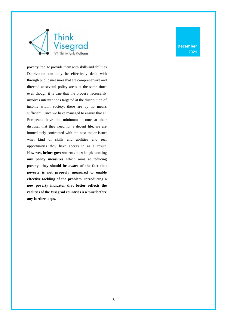

poverty trap, to provide them with skills and abilities. Deprivation can only be effectively dealt with through public measures that are comprehensive and directed at several policy areas at the same time; even though it is true that the process necessarily involves interventions targeted at the distribution of income within society, these are by no means sufficient. Once we have managed to ensure that all Europeans have the minimum income at their disposal that they need for a decent life, we are immediately confronted with the next major issue: what kind of skills and abilities and real opportunities they have access to as a result. However, **before governments start implementing any policy measures** which aims at reducing poverty, **they should be aware of the fact that poverty is not properly measured to enable effective tackling of the problem**. I**ntroducing a new poverty indicator that better reflects the realities of the Visegrad countries is a must before any further steps.**

**December 2021**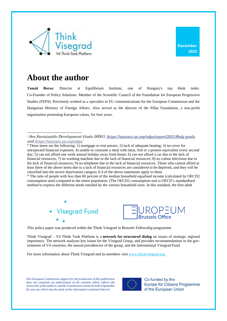

## **About the author**

**Tamáš Boros:** Director at Equilibrium Institute, one of Hungary's top think tanks. Co-Founder of Policy Solutions. Member of the Scientific Council of the Foundation for European Progressive Studies (FEPS). Previously worked as a specialist in EU communications for the European Commission and the Hungarian Ministry of Foreign Affairs. Also served as the director of the Pillar Foundation, a non-profit organization promoting European values, for four years.

ii These items are the following: 1) mortgage or rent arrears; 2) lack of adequate heating; 3) no cover for unexpected financial expenses; 4) unable to consume a meal with meat, fish or a protein equivalent every second day; 5) can not afford one week annual holiday away from home; 6) can not afford a car due to the lack of financial resources; 7) no washing machine due to the lack of financial resources; 8) no colour television due to the lack of financial resources; 9) no telephone due to the lack of financial resources. Those who cannot afford at least three of the above items due to a lack of financial resources are considered to be deprived, and they will be classified into the severe deprivation category if 4 of the above statements apply to them.

iii The ratio of people with less than 60 percent of the median household equalised income (calculated by OECD2 consumption unit) compared to the entire population. (The OECD2 consumption unit is OECD's standardised method to express the different needs entailed by the various household sizes. In this standard, the first adult





This policy paper was produced within the Think Visegrad in Brussels Fellowship programme.

Think Visegrad – V4 Think Tank Platform is a **network for structured dialog** on issues of strategic regional importance. The network analyses key issues for the Visegrad Group, and provides recommendations to the governments of V4 countries, the annual presidencies of the group, and the International Visegrad Fund.

For more information about Think Visegrad and its members visit [www.thinkvisegrad.org](http://www.thinkvisegrad.org/) .

*The European Commission support for the production of this publication*  does not constitute an endorsement of the contents which reflects the *views only of the authors, and the Commission cannot be held responsible for any use which may be made of the information contained therein.*



Co-funded by the **Europe for Citizens Programme** of the European Union

<sup>i</sup> See Sustainable Development Goals (SDG), [https://unstats.un.org/sdgs/report/2021/#sdg-goals,](https://unstats.un.org/sdgs/report/2021/#sdg-goals) an[d https://unstats.un.org/sdgs/](https://unstats.un.org/sdgs/)